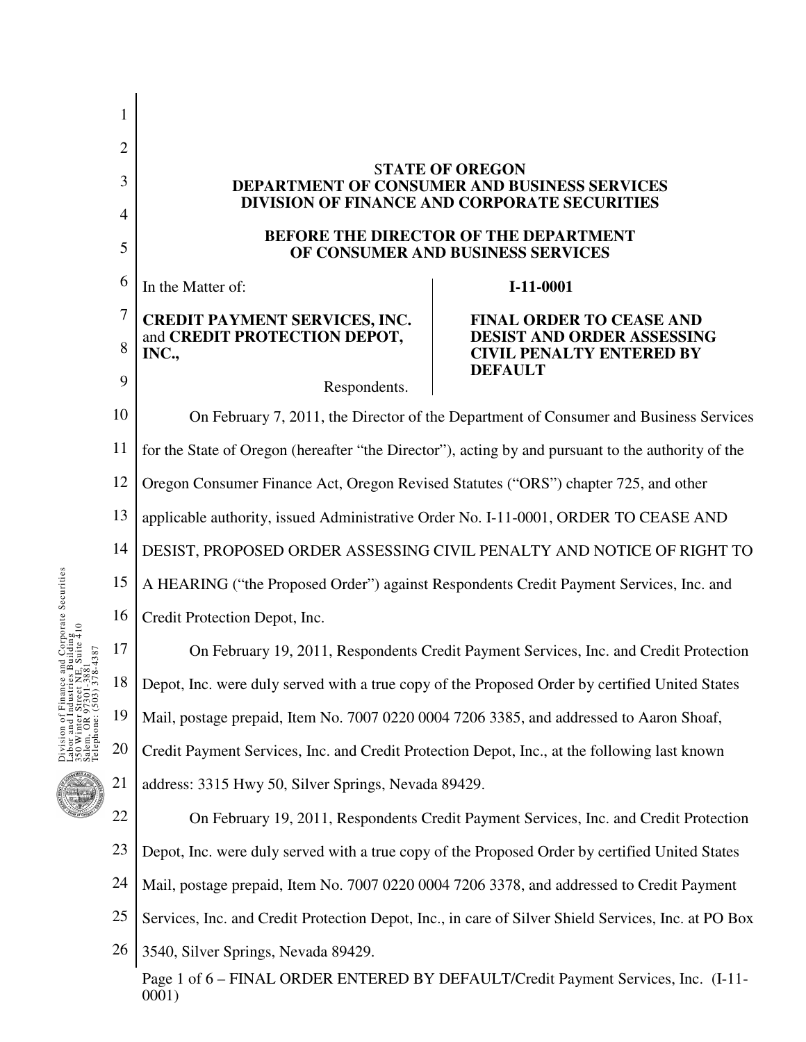|                     | 1              |                                                                                                     |                                                                                   |  |
|---------------------|----------------|-----------------------------------------------------------------------------------------------------|-----------------------------------------------------------------------------------|--|
|                     | $\overline{2}$ | <b>STATE OF OREGON</b>                                                                              |                                                                                   |  |
|                     | 3              | DEPARTMENT OF CONSUMER AND BUSINESS SERVICES<br>DIVISION OF FINANCE AND CORPORATE SECURITIES        |                                                                                   |  |
|                     | $\overline{4}$ |                                                                                                     |                                                                                   |  |
|                     | 5              | <b>BEFORE THE DIRECTOR OF THE DEPARTMENT</b><br>OF CONSUMER AND BUSINESS SERVICES                   |                                                                                   |  |
| orporate Securities | 6              | In the Matter of:                                                                                   | I-11-0001                                                                         |  |
|                     | $\overline{7}$ | <b>CREDIT PAYMENT SERVICES, INC.</b>                                                                | <b>FINAL ORDER TO CEASE AND</b>                                                   |  |
|                     | 8              | and CREDIT PROTECTION DEPOT,<br>INC.,                                                               | DESIST AND ORDER ASSESSING<br><b>CIVIL PENALTY ENTERED BY</b><br><b>DEFAULT</b>   |  |
|                     | 9              | Respondents.                                                                                        |                                                                                   |  |
|                     | 10             | On February 7, 2011, the Director of the Department of Consumer and Business Services               |                                                                                   |  |
|                     | 11             | for the State of Oregon (hereafter "the Director"), acting by and pursuant to the authority of the  |                                                                                   |  |
|                     | 12             | Oregon Consumer Finance Act, Oregon Revised Statutes ("ORS") chapter 725, and other                 |                                                                                   |  |
|                     | 13             | applicable authority, issued Administrative Order No. I-11-0001, ORDER TO CEASE AND                 |                                                                                   |  |
|                     | 14             | DESIST, PROPOSED ORDER ASSESSING CIVIL PENALTY AND NOTICE OF RIGHT TO                               |                                                                                   |  |
|                     | 15             | A HEARING ("the Proposed Order") against Respondents Credit Payment Services, Inc. and              |                                                                                   |  |
|                     | 16             | Credit Protection Depot, Inc.                                                                       |                                                                                   |  |
|                     | 17             | On February 19, 2011, Respondents Credit Payment Services, Inc. and Credit Protection               |                                                                                   |  |
|                     | 18             | Depot, Inc. were duly served with a true copy of the Proposed Order by certified United States      |                                                                                   |  |
|                     | 19             | Mail, postage prepaid, Item No. 7007 0220 0004 7206 3385, and addressed to Aaron Shoaf,             |                                                                                   |  |
|                     | 20             | Credit Payment Services, Inc. and Credit Protection Depot, Inc., at the following last known        |                                                                                   |  |
|                     | 21             | address: 3315 Hwy 50, Silver Springs, Nevada 89429.                                                 |                                                                                   |  |
|                     | 22             | On February 19, 2011, Respondents Credit Payment Services, Inc. and Credit Protection               |                                                                                   |  |
|                     | 23             | Depot, Inc. were duly served with a true copy of the Proposed Order by certified United States      |                                                                                   |  |
|                     | 24             | Mail, postage prepaid, Item No. 7007 0220 0004 7206 3378, and addressed to Credit Payment           |                                                                                   |  |
|                     | 25             | Services, Inc. and Credit Protection Depot, Inc., in care of Silver Shield Services, Inc. at PO Box |                                                                                   |  |
|                     | 26             | 3540, Silver Springs, Nevada 89429.                                                                 |                                                                                   |  |
|                     |                | 0001)                                                                                               | Page 1 of 6 – FINAL ORDER ENTERED BY DEFAULT/Credit Payment Services, Inc. (I-11- |  |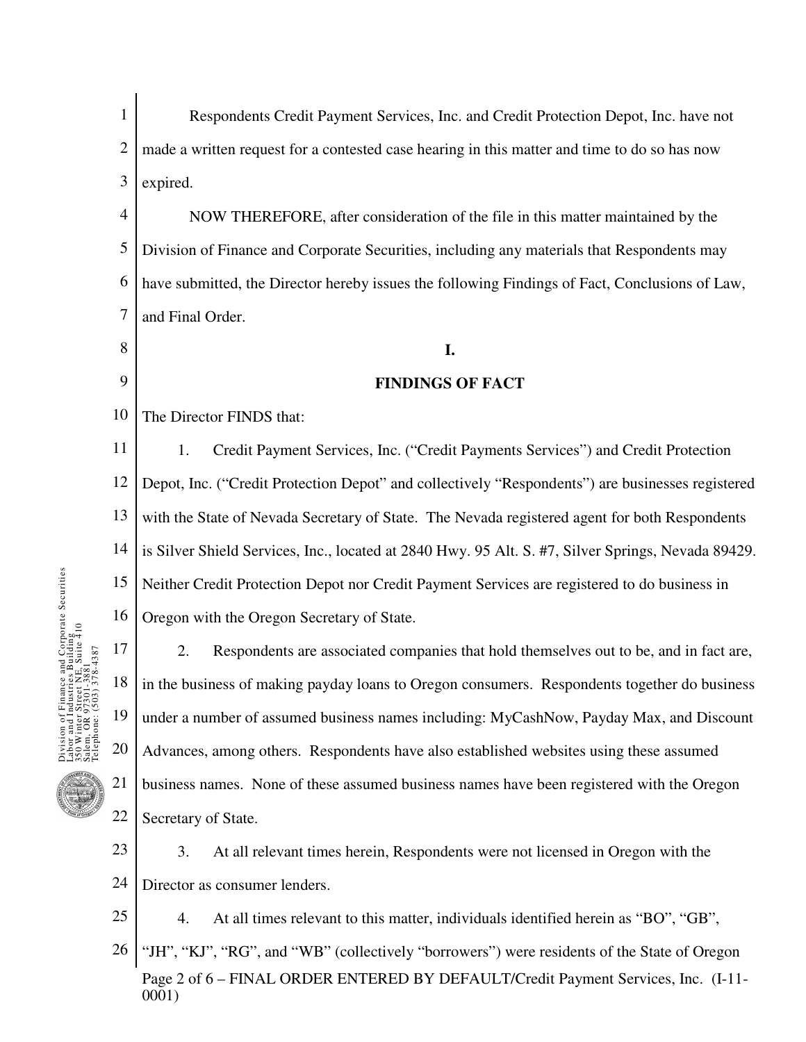1 2 3 Respondents Credit Payment Services, Inc. and Credit Protection Depot, Inc. have not made a written request for a contested case hearing in this matter and time to do so has now expired.

4 5 6 7 NOW THEREFORE, after consideration of the file in this matter maintained by the Division of Finance and Corporate Securities, including any materials that Respondents may have submitted, the Director hereby issues the following Findings of Fact, Conclusions of Law, and Final Order.

## **I.**

### **FINDINGS OF FACT**

10 The Director FINDS that:

8

9

11 12 13 14 15 16 1. Credit Payment Services, Inc. ("Credit Payments Services") and Credit Protection Depot, Inc. ("Credit Protection Depot" and collectively "Respondents") are businesses registered with the State of Nevada Secretary of State. The Nevada registered agent for both Respondents is Silver Shield Services, Inc., located at 2840 Hwy. 95 Alt. S. #7, Silver Springs, Nevada 89429. Neither Credit Protection Depot nor Credit Payment Services are registered to do business in Oregon with the Oregon Secretary of State.

17 18 19 20 21 22 2. Respondents are associated companies that hold themselves out to be, and in fact are, in the business of making payday loans to Oregon consumers. Respondents together do business under a number of assumed business names including: MyCashNow, Payday Max, and Discount Advances, among others. Respondents have also established websites using these assumed business names. None of these assumed business names have been registered with the Oregon Secretary of State.

- 23 24 3. At all relevant times herein, Respondents were not licensed in Oregon with the Director as consumer lenders.
	- 4. At all times relevant to this matter, individuals identified herein as "BO", "GB",
- Page 2 of 6 FINAL ORDER ENTERED BY DEFAULT/Credit Payment Services, Inc. (I-11- 0001) 26 "JH", "KJ", "RG", and "WB" (collectively "borrowers") were residents of the State of Oregon

25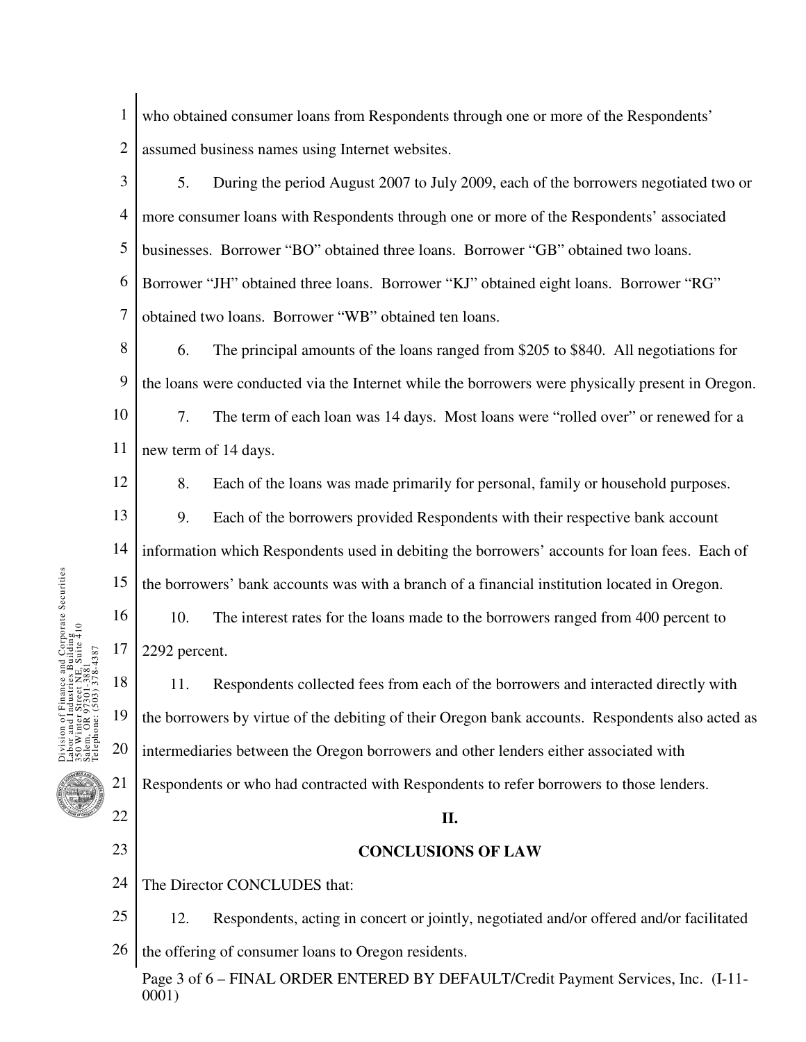- 1 2 who obtained consumer loans from Respondents through one or more of the Respondents' assumed business names using Internet websites.
- 3 4 5 6 7 5. During the period August 2007 to July 2009, each of the borrowers negotiated two or more consumer loans with Respondents through one or more of the Respondents' associated businesses. Borrower "BO" obtained three loans. Borrower "GB" obtained two loans. Borrower "JH" obtained three loans. Borrower "KJ" obtained eight loans. Borrower "RG" obtained two loans. Borrower "WB" obtained ten loans.

8 9 10 11 6. The principal amounts of the loans ranged from \$205 to \$840. All negotiations for the loans were conducted via the Internet while the borrowers were physically present in Oregon. 7. The term of each loan was 14 days. Most loans were "rolled over" or renewed for a new term of 14 days.

12

16

17

nance and Corporate Securities<br>ustries Building<br>cet NE, Suite 410<br>301-3881

22

23

8. Each of the loans was made primarily for personal, family or household purposes.

- 13 14 15 9. Each of the borrowers provided Respondents with their respective bank account information which Respondents used in debiting the borrowers' accounts for loan fees. Each of the borrowers' bank accounts was with a branch of a financial institution located in Oregon.
	- 10. The interest rates for the loans made to the borrowers ranged from 400 percent to 2292 percent.

18 19 20 21 11. Respondents collected fees from each of the borrowers and interacted directly with the borrowers by virtue of the debiting of their Oregon bank accounts. Respondents also acted as intermediaries between the Oregon borrowers and other lenders either associated with Respondents or who had contracted with Respondents to refer borrowers to those lenders.

#### **II.**

### **CONCLUSIONS OF LAW**

- 24 The Director CONCLUDES that:
- 25 26 12. Respondents, acting in concert or jointly, negotiated and/or offered and/or facilitated the offering of consumer loans to Oregon residents.

Page 3 of 6 – FINAL ORDER ENTERED BY DEFAULT/Credit Payment Services, Inc. (I-11- 0001)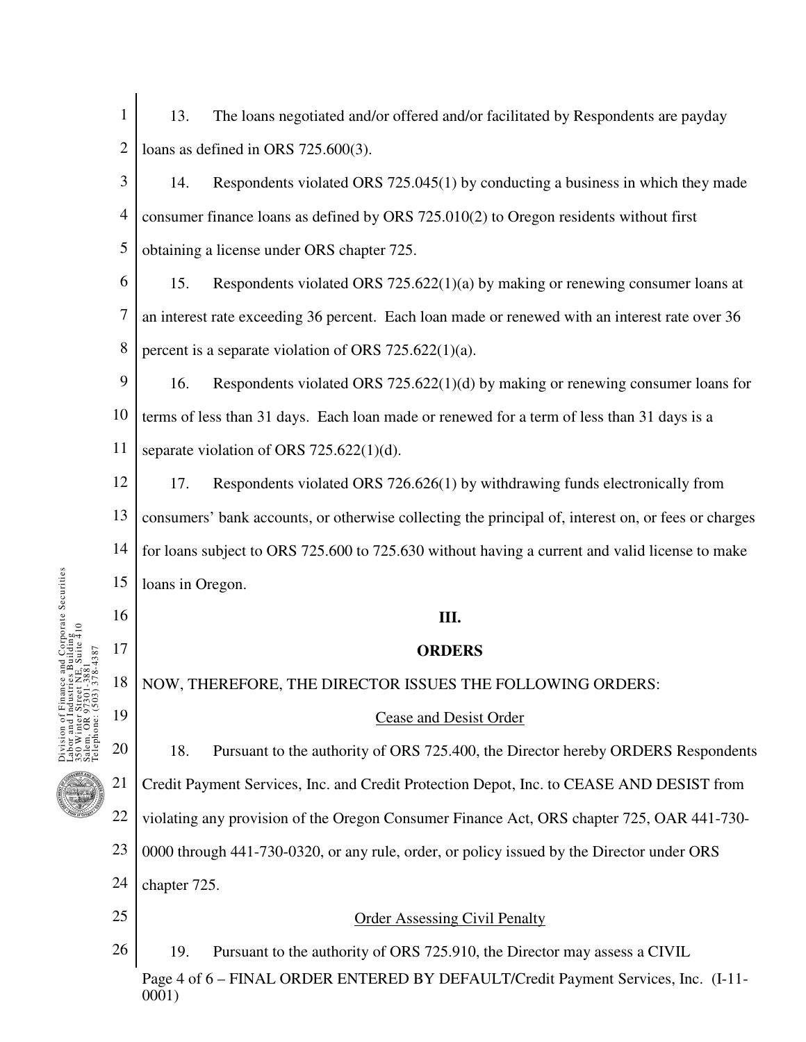- 1 2 13. The loans negotiated and/or offered and/or facilitated by Respondents are payday loans as defined in ORS 725.600(3).
- 3 4 5 14. Respondents violated ORS 725.045(1) by conducting a business in which they made consumer finance loans as defined by ORS 725.010(2) to Oregon residents without first obtaining a license under ORS chapter 725.
- 6 7 8 15. Respondents violated ORS 725.622(1)(a) by making or renewing consumer loans at an interest rate exceeding 36 percent. Each loan made or renewed with an interest rate over 36 percent is a separate violation of ORS 725.622(1)(a).
- 9 10 11 16. Respondents violated ORS 725.622(1)(d) by making or renewing consumer loans for terms of less than 31 days. Each loan made or renewed for a term of less than 31 days is a separate violation of ORS 725.622(1)(d).
- 12 13 14 15 17. Respondents violated ORS 726.626(1) by withdrawing funds electronically from consumers' bank accounts, or otherwise collecting the principal of, interest on, or fees or charges for loans subject to ORS 725.600 to 725.630 without having a current and valid license to make loans in Oregon.

## **III.**

# **ORDERS**

18 NOW, THEREFORE, THE DIRECTOR ISSUES THE FOLLOWING ORDERS:

# Cease and Desist Order

18. Pursuant to the authority of ORS 725.400, the Director hereby ORDERS Respondents Credit Payment Services, Inc. and Credit Protection Depot, Inc. to CEASE AND DESIST from

22 violating any provision of the Oregon Consumer Finance Act, ORS chapter 725, OAR 441-730-

23 0000 through 441-730-0320, or any rule, order, or policy issued by the Director under ORS

24 chapter 725.

25

16

17

nance and Corporate Securities<br>ustries Building<br>vet NE, Suite 410<br>351-3881 Suite 410

19

20

21

Order Assessing Civil Penalty

Page 4 of 6 – FINAL ORDER ENTERED BY DEFAULT/Credit Payment Services, Inc. (I-11- 0001) 26 19. Pursuant to the authority of ORS 725.910, the Director may assess a CIVIL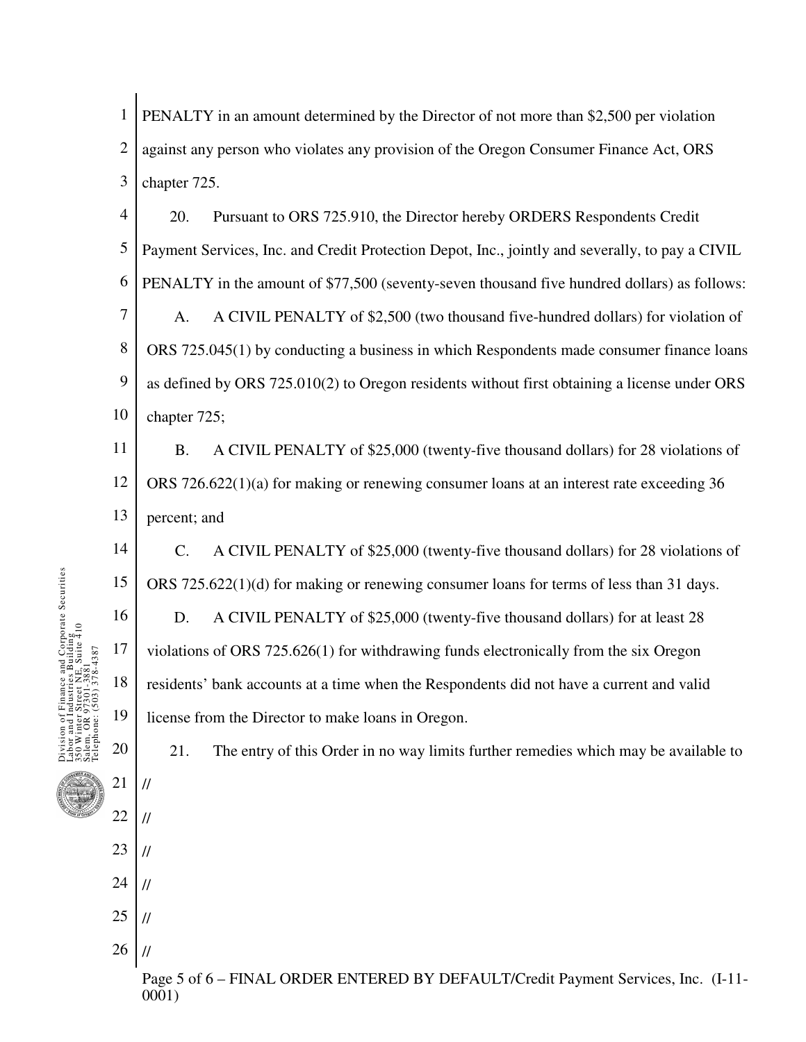1 2 3 PENALTY in an amount determined by the Director of not more than \$2,500 per violation against any person who violates any provision of the Oregon Consumer Finance Act, ORS chapter 725.

4 5 6 7 8 9 20. Pursuant to ORS 725.910, the Director hereby ORDERS Respondents Credit Payment Services, Inc. and Credit Protection Depot, Inc., jointly and severally, to pay a CIVIL PENALTY in the amount of \$77,500 (seventy-seven thousand five hundred dollars) as follows: A. A CIVIL PENALTY of \$2,500 (two thousand five-hundred dollars) for violation of ORS 725.045(1) by conducting a business in which Respondents made consumer finance loans

10 as defined by ORS 725.010(2) to Oregon residents without first obtaining a license under ORS chapter 725;

11 12 13 B. A CIVIL PENALTY of \$25,000 (twenty-five thousand dollars) for 28 violations of ORS 726.622(1)(a) for making or renewing consumer loans at an interest rate exceeding 36 percent; and

14 15 16 17 18 19 C. A CIVIL PENALTY of \$25,000 (twenty-five thousand dollars) for 28 violations of ORS 725.622(1)(d) for making or renewing consumer loans for terms of less than 31 days. D. A CIVIL PENALTY of \$25,000 (twenty-five thousand dollars) for at least 28 violations of ORS 725.626(1) for withdrawing funds electronically from the six Oregon residents' bank accounts at a time when the Respondents did not have a current and valid license from the Director to make loans in Oregon.

21. The entry of this Order in no way limits further remedies which may be available to

Page 5 of 6 – FINAL ORDER ENTERED BY DEFAULT/Credit Payment Services, Inc. (I-11- 0001)

20

21

//

//

//

//

//

//

22

23

24

25

26